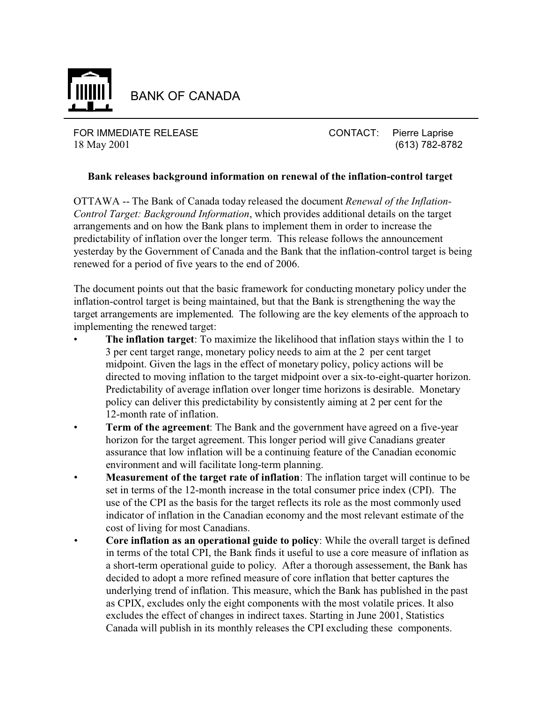

BANK OF CANADA

FOR IMMEDIATE RELEASE CONTACT: Pierre Laprise 18 May 2001 (613) 782-8782

## **Bank releases background information on renewal of the inflation-control target**

OTTAWA -- The Bank of Canada today released the document *Renewal of the Inflation-Control Target: Background Information*, which provides additional details on the target arrangements and on how the Bank plans to implement them in order to increase the predictability of inflation over the longer term. This release follows the announcement yesterday by the Government of Canada and the Bank that the inflation-control target is being renewed for a period of five years to the end of 2006.

The document points out that the basic framework for conducting monetary policy under the inflation-control target is being maintained, but that the Bank is strengthening the way the target arrangements are implemented. The following are the key elements of the approach to implementing the renewed target:

- **The inflation target**: To maximize the likelihood that inflation stays within the 1 to 3 per cent target range, monetary policy needs to aim at the 2 per cent target midpoint. Given the lags in the effect of monetary policy, policy actions will be directed to moving inflation to the target midpoint over a six-to-eight-quarter horizon. Predictability of average inflation over longer time horizons is desirable. Monetary policy can deliver this predictability by consistently aiming at 2 per cent for the 12-month rate of inflation.
- **Term of the agreement**: The Bank and the government have agreed on a five-year horizon for the target agreement. This longer period will give Canadians greater assurance that low inflation will be a continuing feature of the Canadian economic environment and will facilitate long-term planning.
- **Measurement of the target rate of inflation**: The inflation target will continue to be set in terms of the 12-month increase in the total consumer price index (CPI). The use of the CPI as the basis for the target reflects its role as the most commonly used indicator of inflation in the Canadian economy and the most relevant estimate of the cost of living for most Canadians.
- **Core inflation as an operational guide to policy**: While the overall target is defined in terms of the total CPI, the Bank finds it useful to use a core measure of inflation as a short-term operational guide to policy. After a thorough assessement, the Bank has decided to adopt a more refined measure of core inflation that better captures the underlying trend of inflation. This measure, which the Bank has published in the past as CPIX, excludes only the eight components with the most volatile prices. It also excludes the effect of changes in indirect taxes. Starting in June 2001, Statistics Canada will publish in its monthly releases the CPI excluding these components.